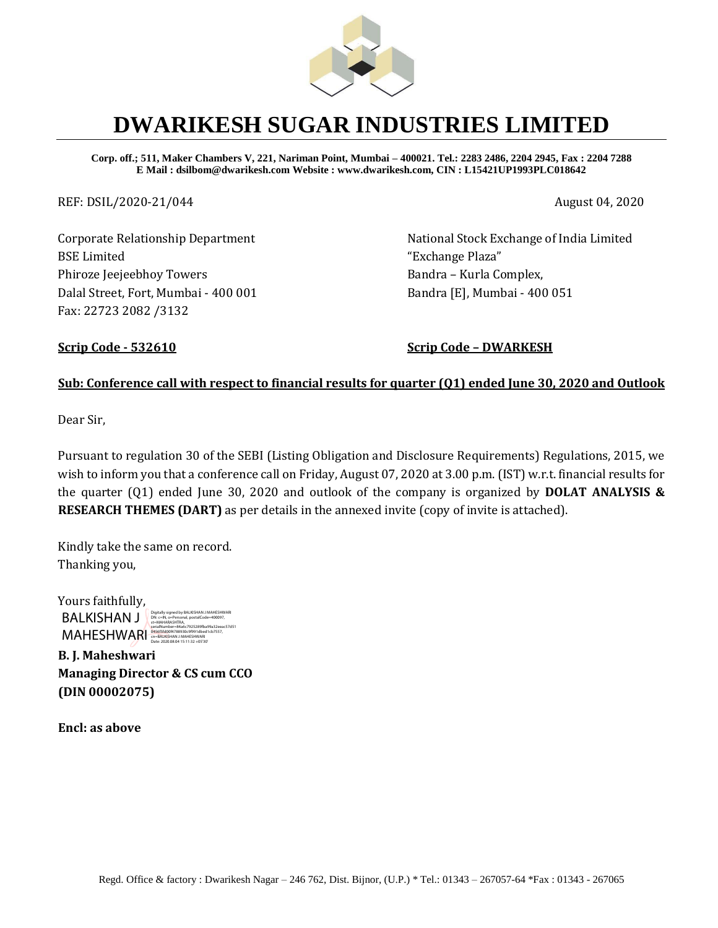

## **DWARIKESH SUGAR INDUSTRIES LIMITED**

**Corp. off.; 511, Maker Chambers V, 221, Nariman Point, Mumbai – 400021. Tel.: 2283 2486, 2204 2945, Fax : 2204 7288 E Mail : dsilbom@dwarikesh.com Website : www.dwarikesh.com, CIN : L15421UP1993PLC018642**

REF: DSIL/2020-21/044 August 04, 2020

Corporate Relationship Department BSE Limited Phiroze Jeejeebhoy Towers Dalal Street, Fort, Mumbai - 400 001 Fax: 22723 2082 /3132

National Stock Exchange of India Limited "Exchange Plaza" Bandra – Kurla Complex, Bandra [E], Mumbai - 400 051

**Scrip Code - 532610 Scrip Code – DWARKESH**

#### **Sub: Conference call with respect to financial results for quarter (Q1) ended June 30, 2020 and Outlook**

Dear Sir,

Pursuant to regulation 30 of the SEBI (Listing Obligation and Disclosure Requirements) Regulations, 2015, we wish to inform you that a conference call on Friday, August 07, 2020 at 3.00 p.m. (IST) w.r.t. financial results for the quarter (Q1) ended June 30, 2020 and outlook of the company is organized by **DOLAT ANALYSIS & RESEARCH THEMES (DART)** as per details in the annexed invite (copy of invite is attached).

Kindly take the same on record. Thanking you,

Yours faithfully, BALKISHAN J MAHESHWARI **GASASEGIQOF4788930c9f991dbed1cb7557,**<br>Date: 2020.08.04 15:11:32 +05'30' Digitally signed by BALKISHAN J MAHESHWARI DN: c=IN, o=Personal, postalCode=400097, st=MAHARASHTRA, serialNumber=84a6c7925289fba99a32eeac57d51

**B. J. Maheshwari Managing Director & CS cum CCO (DIN 00002075)**

**Encl: as above**